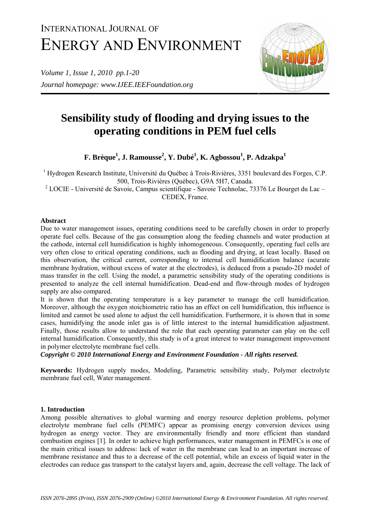# INTERNATIONAL JOURNAL OF ENERGY AND ENVIRONMENT

*Volume 1, Issue 1, 2010 pp.1-20 Journal homepage: www.IJEE.IEEFoundation.org* 



# **Sensibility study of flooding and drying issues to the operating conditions in PEM fuel cells**

**F. Brèque<sup>1</sup> , J. Ramousse<sup>2</sup> , Y. Dubé<sup>1</sup> , K. Agbossou<sup>1</sup> , P. Adzakpa1**

<sup>1</sup> Hydrogen Research Institute, Université du Québec à Trois-Rivières, 3351 boulevard des Forges, C.P. 500, Trois-Rivières (Québec), G9A 5H7, Canada.

 $2^2$  LOCIE - Université de Savoie, Campus scientifique - Savoie Technolac, 73376 Le Bourget du Lac -CEDEX, France.

# **Abstract**

Due to water management issues, operating conditions need to be carefully chosen in order to properly operate fuel cells. Because of the gas consumption along the feeding channels and water production at the cathode, internal cell humidification is highly inhomogeneous. Consequently, operating fuel cells are very often close to critical operating conditions, such as flooding and drying, at least locally. Based on this observation, the critical current, corresponding to internal cell humidification balance (acurate membrane hydration, without excess of water at the electrodes), is deduced from a pseudo-2D model of mass transfer in the cell. Using the model, a parametric sensibility study of the operating conditions is presented to analyze the cell internal humidification. Dead-end and flow-through modes of hydrogen supply are also compared.

It is shown that the operating temperature is a key parameter to manage the cell humidification. Moreover, although the oxygen stoichiometric ratio has an effect on cell humidification, this influence is limited and cannot be used alone to adjust the cell humidification. Furthermore, it is shown that in some cases, humidifying the anode inlet gas is of little interest to the internal humidification adjustment. Finally, those results allow to understand the role that each operating parameter can play on the cell internal humidification. Consequently, this study is of a great interest to water management improvement in polymer electrolyte membrane fuel cells.

*Copyright © 2010 International Energy and Environment Foundation - All rights reserved.*

**Keywords:** Hydrogen supply modes, Modeling, Parametric sensibility study, Polymer electrolyte membrane fuel cell, Water management.

# **1. Introduction**

Among possible alternatives to global warming and energy resource depletion problems, polymer electrolyte membrane fuel cells (PEMFC) appear as promising energy conversion devices using hydrogen as energy vector. They are environmentally friendly and more efficient than standard combustion engines [1]. In order to achieve high performances, water management in PEMFCs is one of the main critical issues to address: lack of water in the membrane can lead to an important increase of membrane resistance and thus to a decrease of the cell potential, while an excess of liquid water in the electrodes can reduce gas transport to the catalyst layers and, again, decrease the cell voltage. The lack of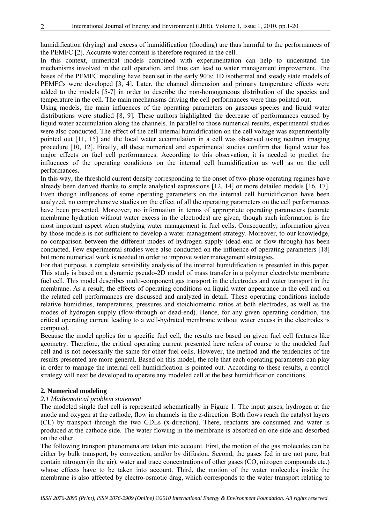humidification (drying) and excess of humidification (flooding) are thus harmful to the performances of the PEMFC [2]. Accurate water content is therefore required in the cell.

In this context, numerical models combined with experimentation can help to understand the mechanisms involved in the cell operation, and thus can lead to water management improvement. The bases of the PEMFC modeling have been set in the early 90's: 1D isothermal and steady state models of PEMFCs were developed [3, 4]. Later, the channel dimension and primary temperature effects were added to the models [5-7] in order to describe the non-homogeneous distribution of the species and temperature in the cell. The main mechanisms driving the cell performances were thus pointed out.

Using models, the main influences of the operating parameters on gaseous species and liquid water distributions were studied [8, 9]. These authors highlighted the decrease of performances caused by liquid water accumulation along the channels. In parallel to those numerical results, experimental studies were also conducted. The effect of the cell internal humidification on the cell voltage was experimentally pointed out [11, 15] and the local water accumulation in a cell was observed using neutron imaging procedure [10, 12]. Finally, all these numerical and experimental studies confirm that liquid water has major effects on fuel cell performances. According to this observation, it is needed to predict the influences of the operating conditions on the internal cell humidification as well as on the cell performances.

In this way, the threshold current density corresponding to the onset of two-phase operating regimes have already been derived thanks to simple analytical expressions [12, 14] or more detailed models [16, 17]. Even though influences of some operating parameters on the internal cell humidification have been analyzed, no comprehensive studies on the effect of all the operating parameters on the cell performances have been presented. Moreover, no information in terms of appropriate operating parameters (acurate membrane hydration without water excess in the electrodes) are given, though such information is the most important aspect when studying water management in fuel cells. Consequently, information given by those models is not sufficient to develop a water management strategy. Moreover, to our knowledge, no comparison between the different modes of hydrogen supply (dead-end or flow-through) has been conducted. Few experimental studies were also conducted on the influence of operating parameters [18] but more numerical work is needed in order to improve water management strategies.

For that purpose, a complete sensibility analysis of the internal humidification is presented in this paper. This study is based on a dynamic pseudo-2D model of mass transfer in a polymer electrolyte membrane fuel cell. This model describes multi-component gas transport in the electrodes and water transport in the membrane. As a result, the effects of operating conditions on liquid water appearance in the cell and on the related cell performances are discussed and analyzed in detail. These operating conditions include relative humidities, temperatures, pressures and stoichiometric ratios at both electrodes, as well as the modes of hydrogen supply (flow-through or dead-end). Hence, for any given operating condition, the critical operating current leading to a well-hydrated membrane without water excess in the electrodes is computed.

Because the model applies for a specific fuel cell, the results are based on given fuel cell features like geometry. Therefore, the critical operating current presented here refers of course to the modeled fuel cell and is not necessarily the same for other fuel cells. However, the method and the tendencies of the results presented are more general. Based on this model, the role that each operating parameters can play in order to manage the internal cell humidification is pointed out. According to these results, a control strategy will next be developed to operate any modeled cell at the best humidification conditions.

# **2. Numerical modeling**

# *2.1 Mathematical problem statement*

The modeled single fuel cell is represented schematically in Figure 1. The input gases, hydrogen at the anode and oxygen at the cathode, flow in channels in the z-direction. Both flows reach the catalyst layers (CL) by transport through the two GDLs (x-direction). There, reactants are consumed and water is produced at the cathode side. The water flowing in the membrane is absorbed on one side and desorbed on the other.

The following transport phenomena are taken into account. First, the motion of the gas molecules can be either by bulk transport, by convection, and/or by diffusion. Second, the gases fed in are not pure, but contain nitrogen (in the air), water and trace concentrations of other gases (CO, nitrogen compounds etc.) whose effects have to be taken into account. Third, the motion of the water molecules inside the membrane is also affected by electro-osmotic drag, which corresponds to the water transport relating to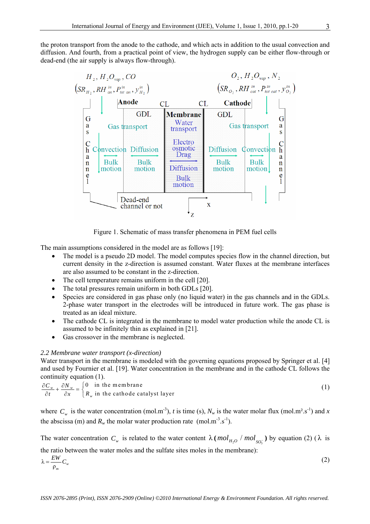the proton transport from the anode to the cathode, and which acts in addition to the usual convection and diffusion. And fourth, from a practical point of view, the hydrogen supply can be either flow-through or dead-end (the air supply is always flow-through).



Figure 1. Schematic of mass transfer phenomena in PEM fuel cells

The main assumptions considered in the model are as follows [19]:

- The model is a pseudo 2D model. The model computes species flow in the channel direction, but current density in the z-direction is assumed constant. Water fluxes at the membrane interfaces are also assumed to be constant in the z-direction.
- The cell temperature remains uniform in the cell [20].
- The total pressures remain uniform in both GDLs [20].
- Species are considered in gas phase only (no liquid water) in the gas channels and in the GDLs. 2-phase water transport in the electrodes will be introduced in future work. The gas phase is treated as an ideal mixture.
- The cathode CL is integrated in the membrane to model water production while the anode CL is assumed to be infinitely thin as explained in [21].
- Gas crossover in the membrane is neglected.

# *2.2 Membrane water transport (x-direction)*

Water transport in the membrane is modeled with the governing equations proposed by Springer et al. [4] and used by Fournier et al. [19]. Water concentration in the membrane and in the cathode CL follows the continuity equation (1).

$$
\frac{\partial C_w}{\partial t} + \frac{\partial N_w}{\partial x} = \begin{cases} 0 & \text{in the membrane} \\ R_w & \text{in the cathode catalyst layer} \end{cases}
$$
 (1)

where  $C_w$  is the water concentration (mol.m<sup>-3</sup>), *t* is time (s),  $N_w$  is the water molar flux (mol.m<sup>2</sup>.s<sup>-1</sup>) and *x* the abscissa (m) and  $R_w$  the molar water production rate (mol.m<sup>-3</sup>.s<sup>-1</sup>).

The water concentration  $C_w$  is related to the water content  $\lambda$  ( $mol_{H_2O}$  / $mol_{SO_3^-}$ ) by equation (2) ( $\lambda$  is the ratio between the water moles and the sulfate sites moles in the membrane):

$$
\lambda = \frac{EW}{\rho_m} C_w \tag{2}
$$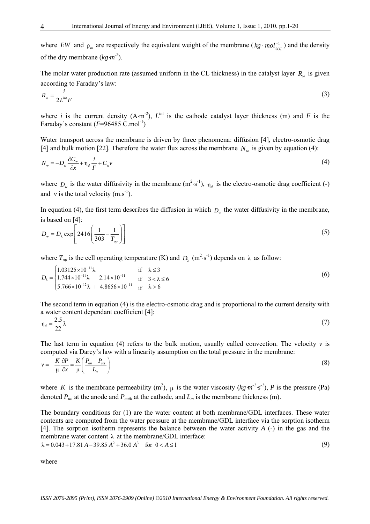where *EW* and  $\rho_m$  are respectively the equivalent weight of the membrane ( $kg \cdot mol_{SO_3^-}^{-1}$ ) and the density of the dry membrane  $(kg \cdot m^{-3})$ .

The molar water production rate (assumed uniform in the CL thickness) in the catalyst layer  $R_{w}$  is given according to Faraday's law:

$$
R_{w} = \frac{i}{2L^{\text{int}}F}
$$
 (3)

where *i* is the current density (A⋅m<sup>-2</sup>),  $L^{int}$  is the cathode catalyst layer thickness (m) and *F* is the Faraday's constant  $(F=96485 \text{ C.mol}^{-1})$ 

Water transport across the membrane is driven by three phenomena: diffusion [4], electro-osmotic drag [4] and bulk motion [22]. Therefore the water flux across the membrane  $N_w$  is given by equation (4):

$$
N_w = -D_w \frac{\partial C_w}{\partial x} + \eta_d \frac{i}{F} + C_w v \tag{4}
$$

where  $D_w$  is the water diffusivity in the membrane  $(m^2 \cdot s^{-1})$ ,  $\eta_d$  is the electro-osmotic drag coefficient (-) and  $v$  is the total velocity  $(m.s^{-1})$ .

In equation (4), the first term describes the diffusion in which  $D_{w}$  the water diffusivity in the membrane, is based on [4]:

$$
D_w = D_\lambda \exp\left[2416\left(\frac{1}{303} - \frac{1}{T_{op}}\right)\right]
$$
 (5)

where  $T_{op}$  is the cell operating temperature (K) and  $D_\lambda$  (m<sup>2</sup>·s<sup>-1</sup>) depends on  $\lambda$  as follow:

$$
D_{\lambda} = \begin{cases} 1.03125 \times 10^{-11} \lambda & \text{if } \lambda \le 3 \\ 1.744 \times 10^{-11} \lambda - 2.14 \times 10^{-11} & \text{if } 3 < \lambda \le 6 \\ 5.766 \times 10^{-12} \lambda + 4.8656 \times 10^{-11} & \text{if } \lambda > 6 \end{cases}
$$
(6)

The second term in equation (4) is the electro-osmotic drag and is proportional to the current density with a water content dependant coefficient [4]:

$$
\eta_d = \frac{2.5}{22} \lambda \tag{7}
$$

The last term in equation (4) refers to the bulk motion, usually called convection. The velocity  $\nu$  is computed via Darcy's law with a linearity assumption on the total pressure in the membrane:

$$
v = -\frac{K}{\mu} \frac{\partial P}{\partial x} = \frac{K}{\mu} \left( \frac{P_{an} - P_{cat}}{L_m} \right)
$$
(8)

where *K* is the membrane permeability  $(m^2)$ ,  $\mu$  is the water viscosity  $(kg \cdot m^{-1} s^{-1})$ , *P* is the pressure (Pa) denoted  $P_{an}$  at the anode and  $P_{cath}$  at the cathode, and  $L_m$  is the membrane thickness (m).

The boundary conditions for (1) are the water content at both membrane/GDL interfaces. These water contents are computed from the water pressure at the membrane/GDL interface via the sorption isotherm [4]. The sorption isotherm represents the balance between the water activity *A* (-) in the gas and the membrane water content  $\lambda$  at the membrane/GDL interface:

 $\lambda = 0.043 + 17.81 \text{ A} - 39.85 \text{ A}^2 + 36.0 \text{ A}^3$  for  $0 < A \le 1$  (9)

where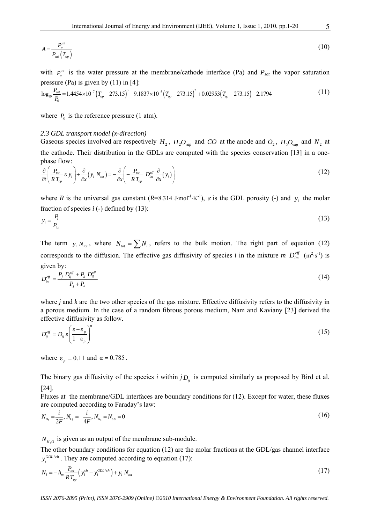$$
A = \frac{P_{w}^{\text{int}}}{P_{sat}\left(T_{op}\right)}\tag{10}
$$

with  $P_w^{\text{int}}$  is the water pressure at the membrane/cathode interface (Pa) and  $P_{sat}$  the vapor saturation pressure (Pa) is given by (11) in [4]:

$$
\log_{10} \frac{P_{\text{sat}}}{P_0} = 1.4454 \times 10^{-7} \left( T_{op} - 273.15 \right)^3 - 9.1837 \times 10^{-5} \left( T_{op} - 273.15 \right)^2 + 0.02953 \left( T_{op} - 273.15 \right) - 2.1794 \tag{11}
$$

where  $P_0$  is the reference pressure (1 atm).

#### *2.3 GDL transport model (x-direction)*

Gaseous species involved are respectively  $H_2$ ,  $H_2O_{vap}$  and *CO* at the anode and  $O_2$ ,  $H_2O_{vap}$  and  $N_2$  at the cathode. Their distribution in the GDLs are computed with the species conservation [13] in a onephase flow:

$$
\frac{\partial}{\partial t} \left( \frac{P_{tot}}{RT_{op}} \varepsilon y_i \right) + \frac{\partial}{\partial x} \left( y_i N_{tot} \right) = -\frac{\partial}{\partial x} \left( -\frac{P_{tot}}{RT_{op}} D_{im}^{eff} \frac{\partial}{\partial x} (y_i) \right)
$$
(12)

where *R* is the universal gas constant  $(R=8.314 \text{ J} \cdot \text{mol}^{-1} \cdot \text{K}^{-1})$ ,  $\varepsilon$  is the GDL porosity (-) and  $y_i$  the molar fraction of species  $i$  (-) defined by  $(13)$ :

$$
y_i = \frac{P_i}{P_{tot}} \tag{13}
$$

The term  $y_i N_{tot}$ , where  $N_{tot} = \sum_i N_i$ , refers to the bulk motion. The right part of equation (12) corresponds to the diffusion. The effective gas diffusivity of species *i* in the mixture *m*  $D_{im}^{eff}$  (m<sup>2</sup>·s<sup>-1</sup>) is given by:

$$
D_{im}^{eff} = \frac{P_j D_{ij}^{eff} + P_k D_{ik}^{eff}}{P_j + P_k} \tag{14}
$$

where *j* and *k* are the two other species of the gas mixture. Effective diffusivity refers to the diffusivity in a porous medium. In the case of a random fibrous porous medium, Nam and Kaviany [23] derived the effective diffusivity as follow.

$$
D_{ij}^{\text{eff}} = D_{ij} \varepsilon \left( \frac{\varepsilon - \varepsilon_p}{1 - \varepsilon_p} \right)^{\alpha} \tag{15}
$$

where  $\varepsilon_p = 0.11$  and  $\alpha = 0.785$ .

The binary gas diffusivity of the species *i* within  $j_{D_{ii}}$  is computed similarly as proposed by Bird et al. [24].

Fluxes at the membrane/GDL interfaces are boundary conditions for (12). Except for water, these fluxes are computed according to Faraday's law:

$$
N_{H_2} = \frac{i}{2F}, N_{O_2} = -\frac{i}{4F}, N_{N_2} = N_{CO} = 0
$$
\n(16)

 $N_{H_2O}$  is given as an output of the membrane sub-module.

The other boundary conditions for equation (12) are the molar fractions at the GDL/gas channel interface  $y_i^{GDL/ch}$ . They are computed according to equation (17):

$$
N_{i} = -h_{m} \frac{P_{tot}}{RT_{op}} \left( y_{i}^{ch} - y_{i}^{GDL-ch} \right) + y_{i} N_{tot}
$$
 (17)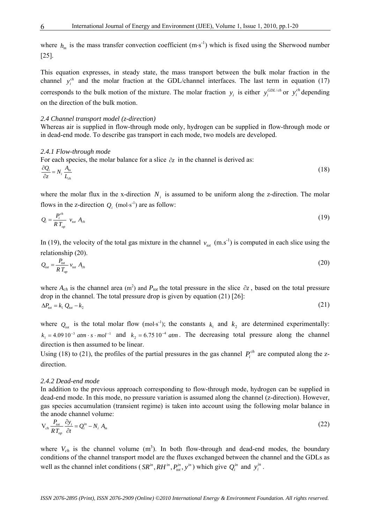where  $h_m$  is the mass transfer convection coefficient (m⋅s<sup>-1</sup>) which is fixed using the Sherwood number [25].

This equation expresses, in steady state, the mass transport between the bulk molar fraction in the channel  $y_i^{ch}$  and the molar fraction at the GDL/channel interfaces. The last term in equation (17) corresponds to the bulk motion of the mixture. The molar fraction  $y_i$  is either  $y_i^{CDL/ch}$  or  $y_i^{ch}$  depending on the direction of the bulk motion.

# *2.4 Channel transport model (z-direction)*

Whereas air is supplied in flow-through mode only, hydrogen can be supplied in flow-through mode or in dead-end mode. To describe gas transport in each mode, two models are developed.

#### *2.4.1 Flow-through mode*

For each species, the molar balance for a slice ∂*z* in the channel is derived as:

$$
\frac{\partial Q_i}{\partial z} = N_i \frac{A_m}{L_{ch}} \tag{18}
$$

where the molar flux in the x-direction  $N_i$  is assumed to be uniform along the z-direction. The molar flows in the z-direction  $Q_i$  (mol⋅s<sup>-1</sup>) are as follow:

$$
Q_i = \frac{P_i^{ch}}{RT_{op}} v_{tot} A_{ch}
$$
 (19)

In (19), the velocity of the total gas mixture in the channel  $v_{tot}$  (m.s<sup>-1</sup>) is computed in each slice using the relationship (20).

$$
Q_{tot} = \frac{P_{tot}}{RT_{op}} v_{tot} A_{ch}
$$
 (20)

where  $A_{ch}$  is the channel area (m<sup>2</sup>) and  $P_{tot}$  the total pressure in the slice  $\partial z$ , based on the total pressure drop in the channel. The total pressure drop is given by equation (21) [26]:  $\Delta P_{tot} = k_1 Q_{tot} - k_2$  (21)

where  $Q_{tot}$  is the total molar flow (mol⋅s<sup>-1</sup>); the constants  $k_1$  and  $k_2$  are determined experimentally:  $k_1 = 4.09 \times 10^{-3}$  atm ·  $s \cdot mol^{-1}$  and  $k_2 = 6.75 \times 10^{-4}$  atm. The decreasing total pressure along the channel direction is then assumed to be linear.

Using (18) to (21), the profiles of the partial pressures in the gas channel  $P_i^{ch}$  are computed along the zdirection.

#### *2.4.2 Dead-end mode*

In addition to the previous approach corresponding to flow-through mode, hydrogen can be supplied in dead-end mode. In this mode, no pressure variation is assumed along the channel (z-direction). However, gas species accumulation (transient regime) is taken into account using the following molar balance in the anode channel volume:

$$
V_{ch} \frac{P_{tot}}{RT_{op}} \frac{\partial y_i}{\partial t} = Q_i^{in} - N_i A_m
$$
 (22)

where  $V_{ch}$  is the channel volume  $(m^3)$ . In both flow-through and dead-end modes, the boundary conditions of the channel transport model are the fluxes exchanged between the channel and the GDLs as well as the channel inlet conditions ( $SR^m, RH^m, P^m_{tot}, y^m$ ) which give  $Q_i^m$  and  $y_i^m$ .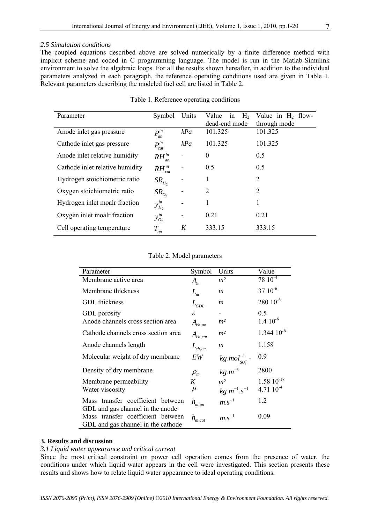# *2.5 Simulation conditions*

The coupled equations described above are solved numerically by a finite difference method with implicit scheme and coded in C programming language. The model is run in the Matlab-Simulink environment to solve the algebraic loops. For all the results shown hereafter, in addition to the individual parameters analyzed in each paragraph, the reference operating conditions used are given in Table 1. Relevant parameters describing the modeled fuel cell are listed in Table 2.

| Parameter                       | Symbol                                 | Units | H <sub>2</sub><br>Value<br>1n | Value in $H_2$ flow- |  |  |  |
|---------------------------------|----------------------------------------|-------|-------------------------------|----------------------|--|--|--|
|                                 |                                        |       | dead-end mode                 | through mode         |  |  |  |
| Anode inlet gas pressure        | $P^{in}$<br>an                         | kPa   | 101.325                       | 101.325              |  |  |  |
| Cathode inlet gas pressure      | $P_{cat}^{in}$                         | kPa   | 101.325                       | 101.325              |  |  |  |
| Anode inlet relative humidity   | $RH^{\text{in}}_{\text{an}}$<br>$\sum$ |       | $\theta$                      | 0.5                  |  |  |  |
| Cathode inlet relative humidity | $RH^{\text{in}}_{\text{cat}}$          |       | 0.5                           | 0.5                  |  |  |  |
| Hydrogen stoichiometric ratio   | $SR_{H_2}$                             |       | 1                             | 2                    |  |  |  |
| Oxygen stoichiometric ratio     | SR <sub>O</sub>                        |       | 2                             | 2                    |  |  |  |
| Hydrogen inlet moalr fraction   | $y_{H_2}^{in}$                         |       | 1                             |                      |  |  |  |
| Oxygen inlet moalr fraction     | $y_{O_2}^{in}$                         | -     | 0.21                          | 0.21                 |  |  |  |
| Cell operating temperature      | $T_{op}$                               | K     | 333.15                        | 333.15               |  |  |  |

#### Table 1. Reference operating conditions

#### Table 2. Model parameters

| Parameter                                                                                                   | Symbol                           | Units                                 | Value              |
|-------------------------------------------------------------------------------------------------------------|----------------------------------|---------------------------------------|--------------------|
| Membrane active area                                                                                        | $A_{m}$                          | m <sup>2</sup>                        | $78 \; 10^{-4}$    |
| Membrane thickness                                                                                          | $L_m$                            | $\mathfrak{m}$                        | 37 10-6            |
| <b>GDL</b> thickness                                                                                        | $L_{GDL}$                        | $\boldsymbol{m}$                      | 280 10-6           |
| GDL porosity                                                                                                | $\mathcal E$                     |                                       | 0.5                |
| Anode channels cross section area                                                                           | $A_{ch,an}$                      | m <sup>2</sup>                        | $1.4~10^{-6}$      |
| Cathode channels cross section area                                                                         | $A_{ch,cat}$                     | m <sup>2</sup>                        | $1.344\ 10^{-6}$   |
| Anode channels length                                                                                       | $L_{ch,an}$                      | $\mathfrak{m}$                        | 1.158              |
| Molecular weight of dry membrane                                                                            | EW                               |                                       | 0.9                |
| Density of dry membrane                                                                                     | $\rho_{\scriptscriptstyle m}^{}$ | $kg.mol_{SO_3^-}^{-1}$<br>$kg.m^{-3}$ | 2800               |
| Membrane permeability                                                                                       | K                                | m <sup>2</sup>                        | $1.58 \; 10^{-18}$ |
| Water viscosity                                                                                             | $\mu$                            | $kg.m^{-1}.s^{-1}$                    | $4.7110^{-4}$      |
| Mass transfer coefficient between                                                                           | $h_{\scriptscriptstyle m,an}$    | $m.s^{-1}$                            | 1.2                |
| GDL and gas channel in the anode<br>Mass transfer coefficient between<br>GDL and gas channel in the cathode | $h_{\scriptscriptstyle m,cat}$   | $m.s^{-1}$                            | 0.09               |

# **3. Results and discussion**

#### *3.1 Liquid water appearance and critical current*

Since the most critical constraint on power cell operation comes from the presence of water, the conditions under which liquid water appears in the cell were investigated. This section presents these results and shows how to relate liquid water appearance to ideal operating conditions.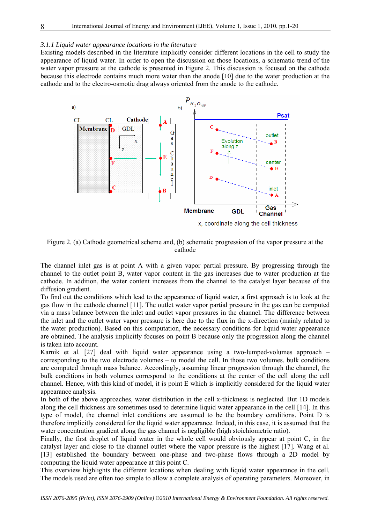#### *3.1.1 Liquid water appearance locations in the literature*

Existing models described in the literature implicitly consider different locations in the cell to study the appearance of liquid water. In order to open the discussion on those locations, a schematic trend of the water vapor pressure at the cathode is presented in Figure 2. This discussion is focused on the cathode because this electrode contains much more water than the anode [10] due to the water production at the cathode and to the electro-osmotic drag always oriented from the anode to the cathode.



Figure 2. (a) Cathode geometrical scheme and, (b) schematic progression of the vapor pressure at the cathode

The channel inlet gas is at point A with a given vapor partial pressure. By progressing through the channel to the outlet point B, water vapor content in the gas increases due to water production at the cathode. In addition, the water content increases from the channel to the catalyst layer because of the diffusion gradient.

To find out the conditions which lead to the appearance of liquid water, a first approach is to look at the gas flow in the cathode channel [11]. The outlet water vapor partial pressure in the gas can be computed via a mass balance between the inlet and outlet vapor pressures in the channel. The difference between the inlet and the outlet water vapor pressure is here due to the flux in the x-direction (mainly related to the water production). Based on this computation, the necessary conditions for liquid water appearance are obtained. The analysis implicitly focuses on point B because only the progression along the channel is taken into account.

Karnik et al. [27] deal with liquid water appearance using a two-lumped-volumes approach – corresponding to the two electrode volumes – to model the cell. In those two volumes, bulk conditions are computed through mass balance. Accordingly, assuming linear progression through the channel, the bulk conditions in both volumes correspond to the conditions at the center of the cell along the cell channel. Hence, with this kind of model, it is point E which is implicitly considered for the liquid water appearance analysis.

In both of the above approaches, water distribution in the cell x-thickness is neglected. But 1D models along the cell thickness are sometimes used to determine liquid water appearance in the cell [14]. In this type of model, the channel inlet conditions are assumed to be the boundary conditions. Point D is therefore implicitly considered for the liquid water appearance. Indeed, in this case, it is assumed that the water concentration gradient along the gas channel is negligible (high stoichiometric ratio).

Finally, the first droplet of liquid water in the whole cell would obviously appear at point C, in the catalyst layer and close to the channel outlet where the vapor pressure is the highest [17]. Wang et al. [13] established the boundary between one-phase and two-phase flows through a 2D model by computing the liquid water appearance at this point C.

This overview highlights the different locations when dealing with liquid water appearance in the cell. The models used are often too simple to allow a complete analysis of operating parameters. Moreover, in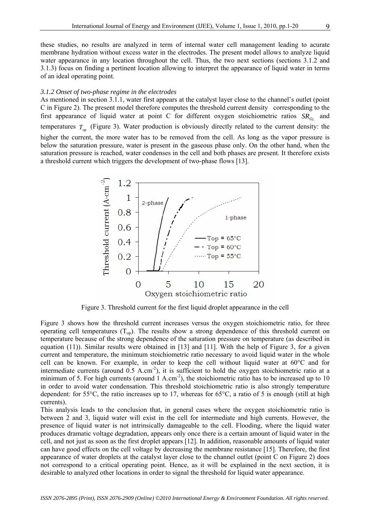these studies, no results are analyzed in term of internal water cell management leading to acurate membrane hydration without excess water in the electrodes. The present model allows to analyze liquid water appearance in any location throughout the cell. Thus, the two next sections (sections 3.1.2 and 3.1.3) focus on finding a pertinent location allowing to interpret the appearance of liquid water in terms of an ideal operating point.

#### *3.1.2 Onset of two-phase regime in the electrodes*

As mentioned in section 3.1.1, water first appears at the catalyst layer close to the channel's outlet (point C in Figure 2). The present model therefore computes the threshold current density corresponding to the first appearance of liquid water at point C for different oxygen stoichiometric ratios  $SR<sub>0</sub>$  and temperatures  $T_{\alpha}$  (Figure 3). Water production is obviously directly related to the current density: the higher the current, the more water has to be removed from the cell. As long as the vapor pressure is below the saturation pressure, water is present in the gaseous phase only. On the other hand, when the saturation pressure is reached, water condenses in the cell and both phases are present. It therefore exists a threshold current which triggers the development of two-phase flows [13].



Figure 3. Threshold current for the first liquid droplet appearance in the cell

Figure 3 shows how the threshold current increases versus the oxygen stoichiometric ratio, for three operating cell temperatures  $(T_{op})$ . The results show a strong dependence of this threshold current on temperature because of the strong dependence of the saturation pressure on temperature (as described in equation (11)). Similar results were obtained in [13] and [11]. With the help of Figure 3, for a given current and temperature, the minimum stoichiometric ratio necessary to avoid liquid water in the whole cell can be known. For example, in order to keep the cell without liquid water at 60°C and for intermediate currents (around  $0.5$  A.cm<sup>-2</sup>), it is sufficient to hold the oxygen stoichiometric ratio at a minimum of 5. For high currents (around  $1 \text{ A.cm}^2$ ), the stoichiometric ratio has to be increased up to 10 in order to avoid water condensation. This threshold stoichiometric ratio is also strongly temperature dependent: for 55°C, the ratio increases up to 17, whereas for 65°C, a ratio of 5 is enough (still at high currents).

This analysis leads to the conclusion that, in general cases where the oxygen stoichiometric ratio is between 2 and 3, liquid water will exist in the cell for intermediate and high currents. However, the presence of liquid water is not intrinsically damageable to the cell. Flooding, where the liquid water produces dramatic voltage degradation, appears only once there is a certain amount of liquid water in the cell, and not just as soon as the first droplet appears [12]. In addition, reasonable amounts of liquid water can have good effects on the cell voltage by decreasing the membrane resistance [15]. Therefore, the first appearance of water droplets at the catalyst layer close to the channel outlet (point C on Figure 2) does not correspond to a critical operating point. Hence, as it will be explained in the next section, it is desirable to analyzed other locations in order to signal the threshold for liquid water appearance.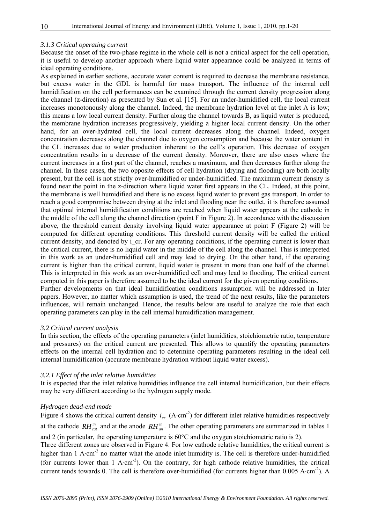#### *3.1.3 Critical operating current*

Because the onset of the two-phase regime in the whole cell is not a critical aspect for the cell operation, it is useful to develop another approach where liquid water appearance could be analyzed in terms of ideal operating conditions.

As explained in earlier sections, accurate water content is required to decrease the membrane resistance, but excess water in the GDL is harmful for mass transport. The influence of the internal cell humidification on the cell performances can be examined through the current density progression along the channel (z-direction) as presented by Sun et al. [15]. For an under-humidified cell, the local current increases monotonously along the channel. Indeed, the membrane hydration level at the inlet A is low; this means a low local current density. Further along the channel towards B, as liquid water is produced, the membrane hydration increases progressively, yielding a higher local current density. On the other hand, for an over-hydrated cell, the local current decreases along the channel. Indeed, oxygen concentration decreases along the channel due to oxygen consumption and because the water content in the CL increases due to water production inherent to the cell's operation. This decrease of oxygen concentration results in a decrease of the current density. Moreover, there are also cases where the current increases in a first part of the channel, reaches a maximum, and then decreases further along the channel. In these cases, the two opposite effects of cell hydration (drying and flooding) are both locally present, but the cell is not strictly over-humidified or under-humidified. The maximum current density is found near the point in the z-direction where liquid water first appears in the CL. Indeed, at this point, the membrane is well humidified and there is no excess liquid water to prevent gas transport. In order to reach a good compromise between drying at the inlet and flooding near the outlet, it is therefore assumed that optimal internal humidification conditions are reached when liquid water appears at the cathode in the middle of the cell along the channel direction (point F in Figure 2). In accordance with the discussion above, the threshold current density involving liquid water appearance at point F (Figure 2) will be computed for different operating conditions. This threshold current density will be called the critical current density, and denoted by i\_cr. For any operating conditions, if the operating current is lower than the critical current, there is no liquid water in the middle of the cell along the channel. This is interpreted in this work as an under-humidified cell and may lead to drying. On the other hand, if the operating current is higher than the critical current, liquid water is present in more than one half of the channel. This is interpreted in this work as an over-humidified cell and may lead to flooding. The critical current computed in this paper is therefore assumed to be the ideal current for the given operating conditions.

Further developments on that ideal humidification conditions assumption will be addressed in later papers. However, no matter which assumption is used, the trend of the next results, like the parameters influences, will remain unchanged. Hence, the results below are useful to analyze the role that each operating parameters can play in the cell internal humidification management.

#### *3.2 Critical current analysis*

In this section, the effects of the operating parameters (inlet humidities, stoichiometric ratio, temperature and pressures) on the critical current are presented. This allows to quantify the operating parameters effects on the internal cell hydration and to determine operating parameters resulting in the ideal cell internal humidification (accurate membrane hydration without liquid water excess).

#### *3.2.1 Effect of the inlet relative humidities*

It is expected that the inlet relative humidities influence the cell internal humidification, but their effects may be very different according to the hydrogen supply mode.

# *Hydrogen dead-end mode*

Figure 4 shows the critical current density  $i_{cr}$  (A⋅cm<sup>-2</sup>) for different inlet relative humidities respectively at the cathode  $RH_{cat}^{in}$  and at the anode  $RH_{an}^{in}$ . The other operating parameters are summarized in tables 1 and 2 (in particular, the operating temperature is 60°C and the oxygen stoichiometric ratio is 2).

Three different zones are observed in Figure 4. For low cathode relative humidities, the critical current is higher than 1 A⋅cm<sup>-2</sup> no matter what the anode inlet humidity is. The cell is therefore under-humidified (for currents lower than 1 A⋅cm-2). On the contrary, for high cathode relative humidities, the critical current tends towards 0. The cell is therefore over-humidified (for currents higher than 0.005 A⋅cm-2). A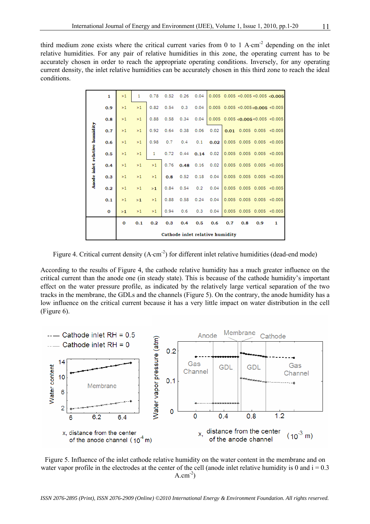third medium zone exists where the critical current varies from 0 to 1 A⋅cm<sup>-2</sup> depending on the inlet relative humidities. For any pair of relative humidities in this zone, the operating current has to be accurately chosen in order to reach the appropriate operating conditions. Inversely, for any operating current density, the inlet relative humidities can be accurately chosen in this third zone to reach the ideal conditions.

|                               | $\mathbf{1}$ | >1                              | 1   | 0.78 | 0.52 | 0.26 | 0.04 |      |     |     |     | $0.005$ 0.005 < 0.005 < 0.005 < 0.005             |
|-------------------------------|--------------|---------------------------------|-----|------|------|------|------|------|-----|-----|-----|---------------------------------------------------|
|                               | 0.9          | >1                              | >1  | 0.82 | 0.54 | 0.3  | 0.04 |      |     |     |     | 0.005 0.005 <0.005 <0.005 <0.005                  |
|                               | 0.8          | >1                              | >1  | 0.88 | 0.58 | 0.34 | 0.04 |      |     |     |     | $0.005$ 0.005 < $0.005$ < $0.005$ < 0.005 < 0.005 |
|                               | 0.7          | >1                              | >1  | 0.92 | 0.64 | 0.38 | 0.06 | 0.02 |     |     |     | $0.01$ 0.005 0.005 <0.005                         |
|                               | 0.6          | >1                              | >1  | 0.98 | 0.7  | 0.4  | 0.1  |      |     |     |     | $0.02$ 0.005 0.005 0.005 <0.005                   |
|                               | 0.5          | >1                              | >1  | 1    | 0.72 | 0.44 | 0.14 | 0.02 |     |     |     | $0.005$ 0.005 0.005 <0.005                        |
| Anode inlet relative humidity | 0.4          | >1                              | >1  | >1   | 0.76 | 0.48 | 0.16 | 0.02 |     |     |     | $0.005$ 0.005 0.005 <0.005                        |
|                               | 0.3          | >1                              | >1  | >1   | 0.8  | 0.52 | 0.18 | 0.04 |     |     |     | $0.005$ 0.005 0.005 <0.005                        |
|                               | 0.2          | >1                              | >1  | >1   | 0.84 | 0.54 | 0.2  | 0.04 |     |     |     | $0.005$ 0.005 0.005 <0.005                        |
|                               | 0.1          | >1                              | >1  | >1   | 0.88 | 0.58 | 0.24 | 0.04 |     |     |     | $0.005$ 0.005 0.005 <0.005                        |
|                               | $\mathbf 0$  | >1                              | >1  | >1   | 0.94 | 0.6  | 0.3  | 0.04 |     |     |     | $0.005$ 0.005 0.005 <0.005                        |
|                               |              | O                               | 0.1 | 0.2  | 0.3  | 0.4  | 0.5  | 0.6  | 0.7 | 0.8 | 0.9 | 1                                                 |
|                               |              | Cathode inlet relative humidity |     |      |      |      |      |      |     |     |     |                                                   |

Figure 4. Critical current density (A⋅cm<sup>-2</sup>) for different inlet relative humidities (dead-end mode)

According to the results of Figure 4, the cathode relative humidity has a much greater influence on the critical current than the anode one (in steady state). This is because of the cathode humidity's important effect on the water pressure profile, as indicated by the relatively large vertical separation of the two tracks in the membrane, the GDLs and the channels (Figure 5). On the contrary, the anode humidity has a low influence on the critical current because it has a very little impact on water distribution in the cell (Figure 6).



Figure 5. Influence of the inlet cathode relative humidity on the water content in the membrane and on water vapor profile in the electrodes at the center of the cell (anode inlet relative humidity is 0 and  $i = 0.3$ )  $A.cm^{-2}$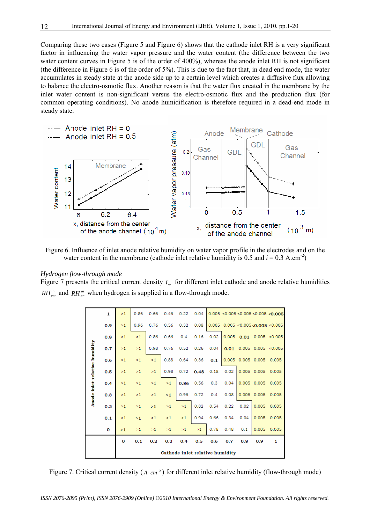Comparing these two cases (Figure 5 and Figure 6) shows that the cathode inlet RH is a very significant factor in influencing the water vapor pressure and the water content (the difference between the two water content curves in Figure 5 is of the order of 400%), whereas the anode inlet RH is not significant (the difference in Figure 6 is of the order of 5%). This is due to the fact that, in dead end mode, the water accumulates in steady state at the anode side up to a certain level which creates a diffusive flux allowing to balance the electro-osmotic flux. Another reason is that the water flux created in the membrane by the inlet water content is non-significant versus the electro-osmotic flux and the production flux (for common operating conditions). No anode humidification is therefore required in a dead-end mode in steady state.



Figure 6. Influence of inlet anode relative humidity on water vapor profile in the electrodes and on the water content in the membrane (cathode inlet relative humidity is  $0.5$  and  $i = 0.3$  A.cm<sup>-2</sup>)

#### *Hydrogen flow-through mode*

Figure 7 presents the critical current density  $i_{cr}$  for different inlet cathode and anode relative humidities  $RH_{cat}^{in}$  and  $RH_{an}^{in}$  when hydrogen is supplied in a flow-through mode.

|                               | $\mathbf{1}$ | >1                              | 0.86 | 0.66 | 0.46 | 0.22 | 0.04 |      |       |                   |                 | 0.005 < 0.005 < 0.005 < 0.005 < 0.005 |
|-------------------------------|--------------|---------------------------------|------|------|------|------|------|------|-------|-------------------|-----------------|---------------------------------------|
|                               | 0.9          | >1                              | 0.96 | 0.76 | 0.56 | 0.32 | 0.08 |      |       |                   |                 | $0.005$ $0.005$ <0.005 <0.005 <0.005  |
|                               | 0.8          | >1                              | >1   | 0.86 | 0.66 | 0.4  | 0.16 | 0.02 | 0.005 | 0.01              |                 | 0.005 < 0.005                         |
|                               | 0.7          | >1                              | >1   | 0.98 | 0.76 | 0.52 | 0.26 | 0.04 | 0.01  |                   |                 | $0.005$ $0.005$ <0.005                |
|                               | 0.6          | >1                              | >1   | >1   | 0.88 | 0.64 | 0.36 | 0.1  |       | 0.005 0.005 0.005 |                 | 0.005                                 |
| Anode inlet relative humidity | 0.5          | >1                              | >1   | >1   | 0.98 | 0.72 | 0.48 | 0.18 | 0.02  |                   | 0.005 0.005     | 0.005                                 |
|                               | 0.4          | >1                              | >1   | >1   | >1   | 0.86 | 0.56 | 0.3  | 0.04  |                   | 0.005 0.005     | 0.005                                 |
|                               | 0.3          | >1                              | >1   | >1   | >1   | 0.96 | 0.72 | 0.4  | 0.08  |                   | $0.005$ $0.005$ | 0.005                                 |
|                               | 0.2          | >1                              | >1   | >1   | >1   | >1   | 0.82 | 0.54 | 0.22  | 0.02              | 0.005           | 0.005                                 |
|                               | 0.1          | >1                              | >1   | >1   | >1   | >1   | 0.94 | 0.66 | 0.34  | 0.04              | 0.005           | 0.005                                 |
|                               | o            | >1                              | >1   | >1   | >1   | >1   | >1   | 0.78 | 0.48  | 0.1               | 0.005           | 0.005                                 |
|                               |              | $\Omega$                        | 0.1  | 0.2  | 0.3  | 0.4  | 0.5  | 0.6  | 0.7   | 0.8               | 0.9             | 1                                     |
|                               |              | Cathode inlet relative humidity |      |      |      |      |      |      |       |                   |                 |                                       |

Figure 7. Critical current density ( $A ∶ cm<sup>-2</sup>$ ) for different inlet relative humidity (flow-through mode)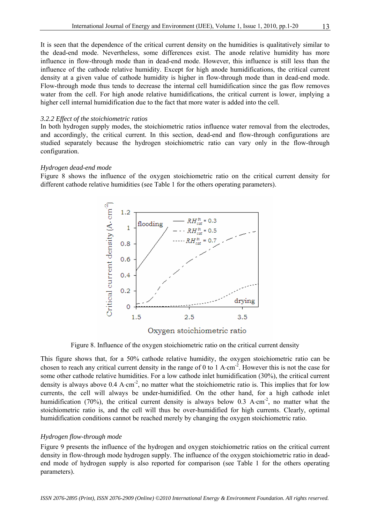It is seen that the dependence of the critical current density on the humidities is qualitatively similar to the dead-end mode. Nevertheless, some differences exist. The anode relative humidity has more influence in flow-through mode than in dead-end mode. However, this influence is still less than the influence of the cathode relative humidity. Except for high anode humidifications, the critical current density at a given value of cathode humidity is higher in flow-through mode than in dead-end mode. Flow-through mode thus tends to decrease the internal cell humidification since the gas flow removes water from the cell. For high anode relative humidifications, the critical current is lower, implying a higher cell internal humidification due to the fact that more water is added into the cell.

#### *3.2.2 Effect of the stoichiometric ratios*

In both hydrogen supply modes, the stoichiometric ratios influence water removal from the electrodes, and accordingly, the critical current. In this section, dead-end and flow-through configurations are studied separately because the hydrogen stoichiometric ratio can vary only in the flow-through configuration.

# *Hydrogen dead-end mode*

Figure 8 shows the influence of the oxygen stoichiometric ratio on the critical current density for different cathode relative humidities (see Table 1 for the others operating parameters).



Oxygen stoichiometric ratio

Figure 8. Influence of the oxygen stoichiometric ratio on the critical current density

This figure shows that, for a 50% cathode relative humidity, the oxygen stoichiometric ratio can be chosen to reach any critical current density in the range of 0 to 1 A⋅cm-2. However this is not the case for some other cathode relative humidities. For a low cathode inlet humidification (30%), the critical current density is always above  $0.4 \text{ A} \cdot \text{cm}^2$ , no matter what the stoichiometric ratio is. This implies that for low currents, the cell will always be under-humidified. On the other hand, for a high cathode inlet humidification (70%), the critical current density is always below 0.3 A⋅cm<sup>-2</sup>, no matter what the stoichiometric ratio is, and the cell will thus be over-humidified for high currents. Clearly, optimal humidification conditions cannot be reached merely by changing the oxygen stoichiometric ratio.

# *Hydrogen flow-through mode*

Figure 9 presents the influence of the hydrogen and oxygen stoichiometric ratios on the critical current density in flow-through mode hydrogen supply. The influence of the oxygen stoichiometric ratio in deadend mode of hydrogen supply is also reported for comparison (see Table 1 for the others operating parameters).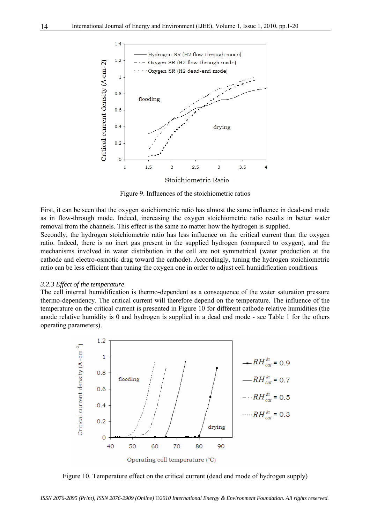

Figure 9. Influences of the stoichiometric ratios

First, it can be seen that the oxygen stoichiometric ratio has almost the same influence in dead-end mode as in flow-through mode. Indeed, increasing the oxygen stoichiometric ratio results in better water removal from the channels. This effect is the same no matter how the hydrogen is supplied.

Secondly, the hydrogen stoichiometric ratio has less influence on the critical current than the oxygen ratio. Indeed, there is no inert gas present in the supplied hydrogen (compared to oxygen), and the mechanisms involved in water distribution in the cell are not symmetrical (water production at the cathode and electro-osmotic drag toward the cathode). Accordingly, tuning the hydrogen stoichiometric ratio can be less efficient than tuning the oxygen one in order to adjust cell humidification conditions.

#### *3.2.3 Effect of the temperature*

The cell internal humidification is thermo-dependent as a consequence of the water saturation pressure thermo-dependency. The critical current will therefore depend on the temperature. The influence of the temperature on the critical current is presented in Figure 10 for different cathode relative humidities (the anode relative humidity is 0 and hydrogen is supplied in a dead end mode - see Table 1 for the others operating parameters).



Figure 10. Temperature effect on the critical current (dead end mode of hydrogen supply)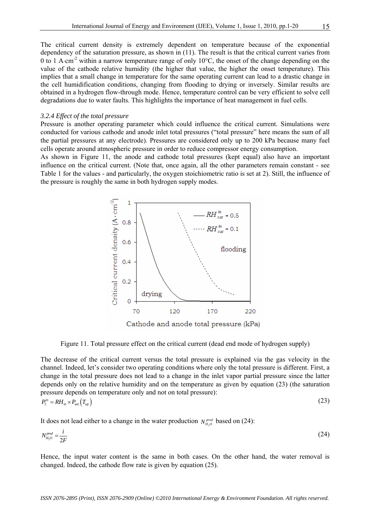The critical current density is extremely dependent on temperature because of the exponential dependency of the saturation pressure, as shown in (11). The result is that the critical current varies from 0 to 1 A⋅cm-2 within a narrow temperature range of only 10°C, the onset of the change depending on the value of the cathode relative humidity (the higher that value, the higher the onset temperature). This implies that a small change in temperature for the same operating current can lead to a drastic change in the cell humidification conditions, changing from flooding to drying or inversely. Similar results are obtained in a hydrogen flow-through mode. Hence, temperature control can be very efficient to solve cell degradations due to water faults. This highlights the importance of heat management in fuel cells.

#### *3.2.4 Effect of the total pressure*

Pressure is another operating parameter which could influence the critical current. Simulations were conducted for various cathode and anode inlet total pressures ("total pressure" here means the sum of all the partial pressures at any electrode). Pressures are considered only up to 200 kPa because many fuel cells operate around atmospheric pressure in order to reduce compressor energy consumption.

As shown in Figure 11, the anode and cathode total pressures (kept equal) also have an important influence on the critical current. (Note that, once again, all the other parameters remain constant - see Table 1 for the values - and particularly, the oxygen stoichiometric ratio is set at 2). Still, the influence of the pressure is roughly the same in both hydrogen supply modes.



Figure 11. Total pressure effect on the critical current (dead end mode of hydrogen supply)

The decrease of the critical current versus the total pressure is explained via the gas velocity in the channel. Indeed, let's consider two operating conditions where only the total pressure is different. First, a change in the total pressure does not lead to a change in the inlet vapor partial pressure since the latter depends only on the relative humidity and on the temperature as given by equation (23) (the saturation pressure depends on temperature only and not on total pressure):

$$
P_2^{in} = R H_{in} \times P_{sat} \left( T_{op} \right) \tag{23}
$$

It does not lead either to a change in the water production  $N_{H_2O}^{prod}$  based on (24):

$$
N_{H_2O}^{prod} = \frac{i}{2F} \tag{24}
$$

Hence, the input water content is the same in both cases. On the other hand, the water removal is changed. Indeed, the cathode flow rate is given by equation (25).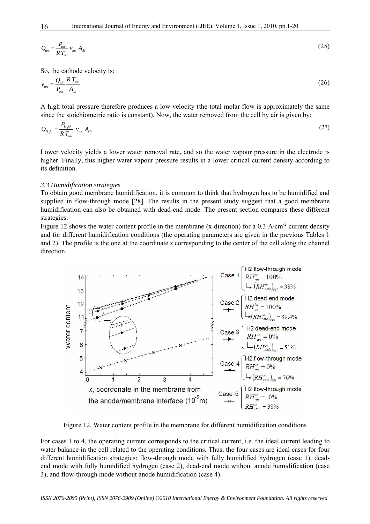$$
Q_{\text{tot}} = \frac{P_{\text{tot}}}{RT_{\text{op}}} v_{\text{tot}} A_{\text{ch}}
$$
\n
$$
(25)
$$

So, the cathode velocity is:

$$
v_{\text{tot}} = \frac{Q_{\text{tot}}}{P_{\text{tot}}} \frac{RT_{\text{op}}}{A_{\text{ch}}} \tag{26}
$$

A high total pressure therefore produces a low velocity (the total molar flow is approximately the same since the stoichiometric ratio is constant). Now, the water removed from the cell by air is given by:

$$
Q_{H_2O} = \frac{P_{H_2O}}{RT_{op}} v_{tot} A_{ch}
$$
 (27)

Lower velocity yields a lower water removal rate, and so the water vapour pressure in the electrode is higher. Finally, this higher water vapour pressure results in a lower critical current density according to its definition.

#### *3.3 Humidification strategies*

To obtain good membrane humidification, it is common to think that hydrogen has to be humidified and supplied in flow-through mode [28]. The results in the present study suggest that a good membrane humidification can also be obtained with dead-end mode. The present section compares these different strategies.

Figure 12 shows the water content profile in the membrane (x-direction) for a 0.3 A⋅cm-2 current density and for different humidification conditions (the operating parameters are given in the previous Tables 1 and 2). The profile is the one at the coordinate *z* corresponding to the center of the cell along the channel direction.



Figure 12. Water content profile in the membrane for different humidification conditions

For cases 1 to 4, the operating current corresponds to the critical current, i.e. the ideal current leading to water balance in the cell related to the operating conditions. Thus, the four cases are ideal cases for four different humidification strategies: flow-through mode with fully humidified hydrogen (case 1), deadend mode with fully humidified hydrogen (case 2), dead-end mode without anode humidification (case 3), and flow-through mode without anode humidification (case 4).

*ISSN 2076-2895 (Print), ISSN 2076-2909 (Online) ©2010 International Energy & Environment Foundation. All rights reserved.*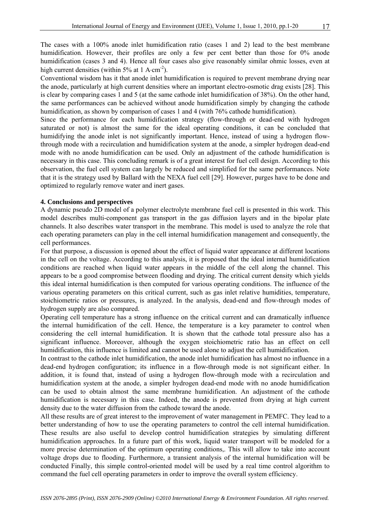The cases with a 100% anode inlet humidification ratio (cases 1 and 2) lead to the best membrane humidification. However, their profiles are only a few per cent better than those for 0% anode humidification (cases 3 and 4). Hence all four cases also give reasonably similar ohmic losses, even at high current densities (within  $5\%$  at 1 A⋅cm<sup>-2</sup>).

Conventional wisdom has it that anode inlet humidification is required to prevent membrane drying near the anode, particularly at high current densities where an important electro-osmotic drag exists [28]. This is clear by comparing cases 1 and 5 (at the same cathode inlet humidification of 38%). On the other hand, the same performances can be achieved without anode humidification simply by changing the cathode humidification, as shown by comparison of cases 1 and 4 (with 76% cathode humidification).

Since the performance for each humidification strategy (flow-through or dead-end with hydrogen saturated or not) is almost the same for the ideal operating conditions, it can be concluded that humidifying the anode inlet is not significantly important. Hence, instead of using a hydrogen flowthrough mode with a recirculation and humidification system at the anode, a simpler hydrogen dead-end mode with no anode humidification can be used. Only an adjustment of the cathode humidification is necessary in this case. This concluding remark is of a great interest for fuel cell design. According to this observation, the fuel cell system can largely be reduced and simplified for the same performances. Note that it is the strategy used by Ballard with the NEXA fuel cell [29]. However, purges have to be done and optimized to regularly remove water and inert gases.

# **4. Conclusions and perspectives**

A dynamic pseudo 2D model of a polymer electrolyte membrane fuel cell is presented in this work. This model describes multi-component gas transport in the gas diffusion layers and in the bipolar plate channels. It also describes water transport in the membrane. This model is used to analyze the role that each operating parameters can play in the cell internal humidification management and consequently, the cell performances.

For that purpose, a discussion is opened about the effect of liquid water appearance at different locations in the cell on the voltage. According to this analysis, it is proposed that the ideal internal humidification conditions are reached when liquid water appears in the middle of the cell along the channel. This appears to be a good compromise between flooding and drying. The critical current density which yields this ideal internal humidification is then computed for various operating conditions. The influence of the various operating parameters on this critical current, such as gas inlet relative humidities, temperature, stoichiometric ratios or pressures, is analyzed. In the analysis, dead-end and flow-through modes of hydrogen supply are also compared.

Operating cell temperature has a strong influence on the critical current and can dramatically influence the internal humidification of the cell. Hence, the temperature is a key parameter to control when considering the cell internal humidification. It is shown that the cathode total pressure also has a significant influence. Moreover, although the oxygen stoichiometric ratio has an effect on cell humidification, this influence is limited and cannot be used alone to adjust the cell humidification.

In contrast to the cathode inlet humidification, the anode inlet humidification has almost no influence in a dead-end hydrogen configuration; its influence in a flow-through mode is not significant either. In addition, it is found that, instead of using a hydrogen flow-through mode with a recirculation and humidification system at the anode, a simpler hydrogen dead-end mode with no anode humidification can be used to obtain almost the same membrane humidification. An adjustment of the cathode humidification is necessary in this case. Indeed, the anode is prevented from drying at high current density due to the water diffusion from the cathode toward the anode.

All these results are of great interest to the improvement of water management in PEMFC. They lead to a better understanding of how to use the operating parameters to control the cell internal humidification. These results are also useful to develop control humidification strategies by simulating different humidification approaches. In a future part of this work, liquid water transport will be modeled for a more precise determination of the optimum operating conditions,. This will allow to take into account voltage drops due to flooding. Furthermore, a transient analysis of the internal humidification will be conducted Finally, this simple control-oriented model will be used by a real time control algorithm to command the fuel cell operating parameters in order to improve the overall system efficiency.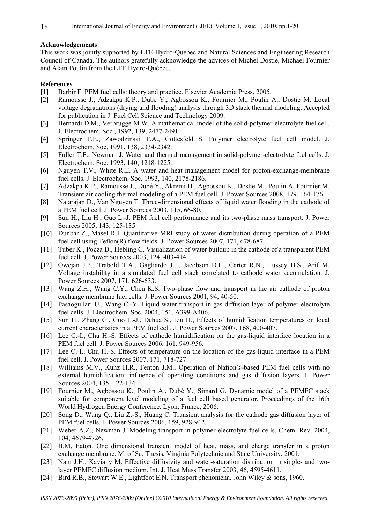#### **Acknowledgements**

This work was jointly supported by LTE-Hydro-Quebec and Natural Sciences and Engineering Research Council of Canada. The authors gratefully acknowledge the advices of Michel Dostie, Michael Fournier and Alain Poulin from the LTE Hydro-Québec.

#### **References**

- [1] Barbir F. PEM fuel cells: theory and practice. Elsevier Academic Press, 2005.
- [2] Ramousse J., Adzakpa K.P., Dube Y., Agbossou K., Fournier M., Poulin A., Dostie M. Local voltage degradations (drying and flooding) analysis through 3D stack thermal modeling, Accepted for publication in J. Fuel Cell Science and Technology 2009.
- [3] Bernardi D.M., Verbrugge M.W. A mathematical model of the solid-polymer-electrolyte fuel cell. J. Electrochem. Soc., 1992, 139, 2477-2491.
- [4] Springer T.E., Zawodzinski T.A., Gottesfeld S. Polymer electrolyte fuel cell model. J. Electrochem. Soc. 1991, 138, 2334-2342.
- [5] Fuller T.F., Newman J. Water and thermal management in solid-polymer-electrolyte fuel cells. J. Electrochem. Soc. 1993, 140, 1218-1225.
- [6] Nguyen T.V., White R.E. A water and heat management model for proton-exchange-membrane fuel cells. J. Electrochem. Soc. 1993, 140, 2178-2186.
- [7] Adzakpa K.P., Ramousse J., Dubé Y., Akremi H., Agbossou K., Dostie M., Poulin A. Fournier M. Transient air cooling thermal modeling of a PEM fuel cell. J. Power Sources 2008, 179, 164-176.
- [8] Natarajan D., Van Nguyen T. Three-dimensional effects of liquid water flooding in the cathode of a PEM fuel cell. J. Power Sources 2003, 115, 66-80.
- [9] Sun H., Liu H., Guo L.-J. PEM fuel cell performance and its two-phase mass transport. J. Power Sources 2005, 143, 125-135.
- [10] Dunbar Z., Masel R.I. Quantitative MRI study of water distribution during operation of a PEM fuel cell using Teflon(R) flow fields. J. Power Sources 2007, 171, 678-687.
- [11] Tuber K., Pocza D., Hebling C. Visualization of water buildup in the cathode of a transparent PEM fuel cell. J. Power Sources 2003, 124, 403-414.
- [12] Owejan J.P., Trabold T.A., Gagliardo J.J., Jacobson D.L., Carter R.N., Hussey D.S., Arif M. Voltage instability in a simulated fuel cell stack correlated to cathode water accumulation. J. Power Sources 2007, 171, 626-633.
- [13] Wang Z.H., Wang C.Y., Chen K.S. Two-phase flow and transport in the air cathode of proton exchange membrane fuel cells. J. Power Sources 2001, 94, 40-50.
- [14] Pasaogullari U., Wang C.-Y. Liquid water transport in gas diffusion layer of polymer electrolyte fuel cells. J. Electrochem. Soc. 2004, 151, A399-A406.
- [15] Sun H., Zhang G., Guo L.-J., Dehua S., Liu H., Effects of humidification temperatures on local current characteristics in a PEM fuel cell. J. Power Sources 2007, 168, 400-407.
- [16] Lee C.-I., Chu H.-S. Effects of cathode humidification on the gas-liquid interface location in a PEM fuel cell. J. Power Sources 2006, 161, 949-956.
- [17] Lee C.-I., Chu H.-S. Effects of temperature on the location of the gas-liquid interface in a PEM fuel cell. J. Power Sources 2007, 171, 718-727.
- [18] Williams M.V., Kunz H.R., Fenton J.M., Operation of Nafion®-based PEM fuel cells with no external humidification: influence of operating conditions and gas diffusion layers. J. Power Sources 2004, 135, 122-134.
- [19] Fournier M., Agbossou K., Poulin A., Dubé Y., Simard G. Dynamic model of a PEMFC stack suitable for component level modeling of a fuel cell based generator. Proceedings of the 16th World Hydrogen Energy Conference. Lyon, France, 2006.
- [20] Song D., Wang Q., Liu Z.-S., Huang C. Transient analysis for the cathode gas diffusion layer of PEM fuel cells. J. Power Sources 2006, 159, 928-942.
- [21] Weber A.Z., Newman J. Modeling transport in polymer-electrolyte fuel cells. Chem. Rev. 2004, 104, 4679-4726.
- [22] B.M. Eaton. One dimensional transient model of heat, mass, and charge transfer in a proton exchange membrane. M. of Sc. Thesis, Virginia Polytechnic and State University, 2001.
- [23] Nam J.H., Kaviany M. Effective diffusivity and water-saturation distribution in single- and twolayer PEMFC diffusion medium. Int. J. Heat Mass Transfer 2003, 46, 4595-4611.
- [24] Bird R.B., Stewart W.E., Lightfoot E.N. Transport phenomena. John Wiley & sons, 1960.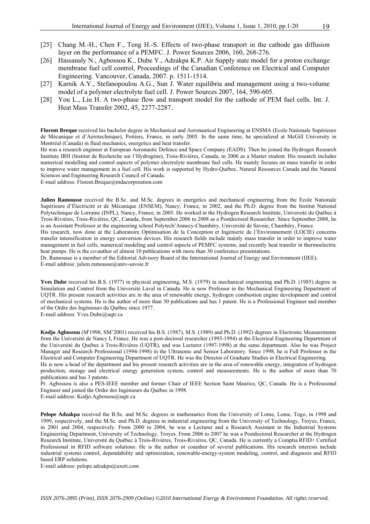- [25] Chang M.-H., Chen F., Teng H.-S. Effects of two-phase transport in the cathode gas diffusion layer on the performance of a PEMFC. J. Power Sources 2006, 160, 268-276.
- [26] Hassanaly N., Agbossou K., Dube Y., Adzakpa K.P. Air Supply state model for a proton exchange membrane fuel cell control, Proceedings of the Canadian Conference on Electrical and Computer Engineering. Vancouver, Canada, 2007. p. 1511-1514.
- [27] Karnik A.Y., Stefanopoulou A.G., Sun J. Water equilibria and management using a two-volume model of a polymer electrolyte fuel cell. J. Power Sources 2007, 164, 590-605.
- [28] You L., Liu H. A two-phase flow and transport model for the cathode of PEM fuel cells. Int. J. Heat Mass Transfer 2002, 45, 2277-2287.

**Florent Breque** received his bachelor degree in Mechanical and Aeronautical Engineering at ENSMA (Ecole Nationale Supérieure de Mécanique et d'Aérotechnique), Poitiers, France, in early 2005. In the same time, he specialized at McGill University in Montréal (Canada) in fluid mechanics, energetics and heat transfer.

He was a research engineer at European Aeronautic Defence and Space Company (EADS). Then he joined the Hydrogen Research Institute IRH (Institut de Recherche sur l'Hydrogène), Trois-Rivières, Canada, in 2006 as a Master student. His research includes numerical modelling and control aspects of polymer electrolyte membrane fuel cells. He mainly focuses on mass transfer in order to improve water management in a fuel cell. His work is supported by Hydro-Québec, Natural Resources Canada and the Natural Sciences and Engineering Research Council of Canada.

E-mail address: Florent.Breque@mdacorporation.com

**Julien Ramousse** received the B.Sc. and M.Sc. degrees in energetics and mechanical engineering from the Ecole Nationale Supérieure d'Électricité et de Mécanique (ENSEM), Nancy, France, in 2002, and the Ph.D. degree from the Institut National Polytechnique de Lorraine (INPL), Nancy, France, in 2005. He worked in the Hydrogen Research Institute, Université du Québec à Trois-Rivières, Trois-Rivières, QC, Canada, from September 2006 to 2008 as a Postdoctoral Researcher. Since September 2008, he is an Assistant Professor at the engineering school Polytech'Annecy-Chambéry, Université de Savoie, Chambéry, France.

His research, now done at the Laboratoire Optimisation de la Conception et Ingénierie de l'Environnement (LOCIE) concerns transfer intensification in energy conversion devices. His research fields include mainly mass transfer in order to improve water management in fuel cells, numerical modeling and control aspects of PEMFC systems, and recently heat transfer in thermoelectric heat pumps. He is the co-author of almost 10 publications with more than 30 conference presentations.

Dr. Ramousse is a member of the Editorial Advisory Board of the International Journal of Energy and Environment (IJEE). E-mail address: julien.ramousse@univ-savoie.fr

**Yves Dube** received his B.S. (1977) in physical engineering, M.S. (1979) in mechanical engineering and Ph.D. (1985) degree in Simulation and Control from the Université Laval in Canada. He is now Professor in the Mechanical Engineering Department of UQTR. His present research activities are in the area of renewable energy, hydrogen combustion engine development and control of mechanical systems. He is the author of more than 30 publications and has 1 patent. He is a Professional Engineer and member of the Ordre des Ingénieurs du Québec since 1977.

E-mail address: Yves.Dube@uqtr.ca

**Kodjo Agbossou** (M'1998, SM'2001) received his B.S. (1987), M.S. (1989) and Ph.D. (1992) degrees in Electronic Measurements from the Université de Nancy I, France. He was a post-doctoral researcher (1993-1994) at the Electrical Engineering Department of the Université du Québec à Trois-Rivières (UQTR), and was Lecturer (1997-1998) at the same department. Also he was Project Manager and Research Professional (1994-1998) in the Ultrasonic and Sensor Laboratory. Since 1998, he is Full Professor in the Electrical and Computer Engineering Department of UQTR. He was the Director of Graduate Studies in Electrical Engineering.

He is now a head of the department and his present research activities are in the area of renewable energy, integration of hydrogen production, storage and electrical energy generation system, control and measurements. He is the author of more than 70 publications and has 3 patents.

Pr. Agbossou is also a PES-IEEE member and former Chair of IEEE Section Saint Maurice, QC, Canada. He is a Professional Engineer and joined the Ordre des Ingénieurs du Québec in 1998.

E-mail address: Kodjo.Agbossou@uqtr.ca

**Pelope Adzakpa** received the B.Sc. and M.Sc. degrees in mathematics from the University of Lome, Lome, Togo, in 1998 and 1999, respectively, and the M.Sc. and Ph.D. degrees in industrial engineering from the University of Technology, Troyes, France, in 2001 and 2004, respectively. From 2000 to 2004, he was a Lecturer and a Research Assistant in the Industrial Systems Engineering Department, University of Technology, Troyes. From 2006 to 2007 he was a Postdoctoral Researcher at the Hydrogen Research Institute, Université du Québec à Trois-Rivières, Trois-Rivières, QC, Canada. He is currently a Comptia RFID+ Certified Professional in RFID software solutions. He is the author or coauthor of several publications. His research interests include industrial systems control, dependability and optimization, renewable-energy-system modeling, control, and diagnosis and RFID based ERP solutions.

E-mail address: pelope.adzakpa@axeti.com